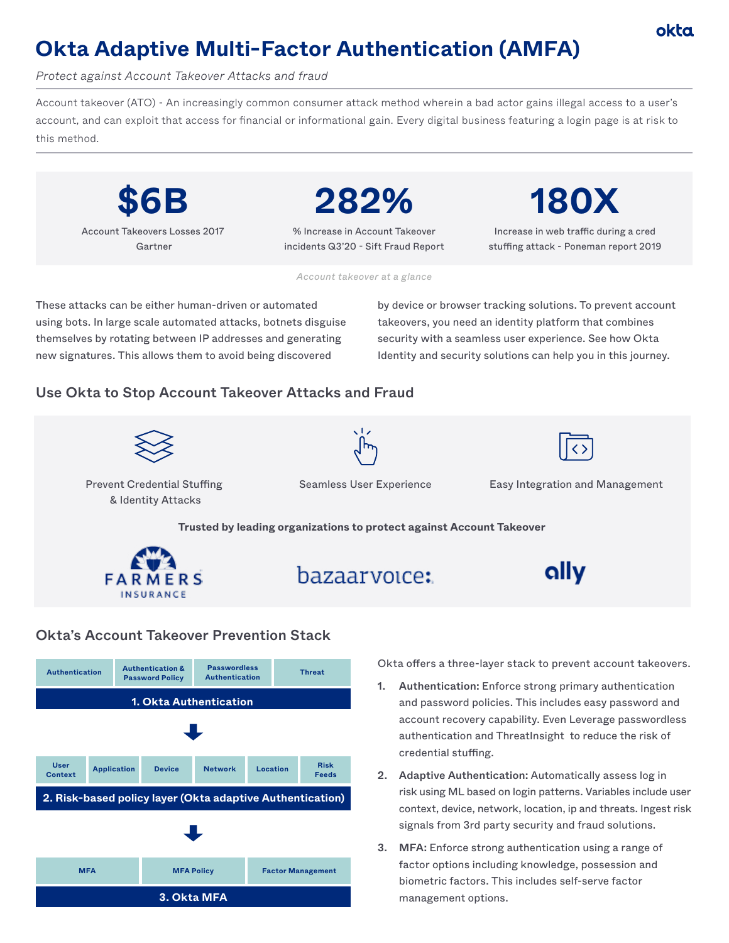# okta

# **Okta Adaptive Multi-Factor Authentication (AMFA)**

*Protect against Account Takeover Attacks and fraud*

Account takeover (ATO) - An increasingly common consumer attack method wherein a bad actor gains illegal access to a user's account, and can exploit that access for financial or informational gain. Every digital business featuring a login page is at risk to this method.



Account Takeovers Losses 2017 Gartner

**282%**

% Increase in Account Takeover incidents Q3'20 - Sift Fraud Report **180X**

Increase in web traffic during a cred stuffing attack - Poneman report 2019

*Account takeover at a glance*

These attacks can be either human-driven or automated using bots. In large scale automated attacks, botnets disguise themselves by rotating between IP addresses and generating new signatures. This allows them to avoid being discovered

by device or browser tracking solutions. To prevent account takeovers, you need an identity platform that combines security with a seamless user experience. See how Okta Identity and security solutions can help you in this journey.

# Use Okta to Stop Account Takeover Attacks and Fraud







Prevent Credential Stuffing & Identity Attacks

Seamless User Experience Easy Integration and Management

**Trusted by leading organizations to protect against Account Takeover** 







#### Okta's Account Takeover Prevention Stack



Okta offers a three-layer stack to prevent account takeovers.

- 1. Authentication: Enforce strong primary authentication and password policies. This includes easy password and account recovery capability. Even Leverage passwordless authentication and ThreatInsight to reduce the risk of credential stuffing.
- 2. Adaptive Authentication: Automatically assess log in risk using ML based on login patterns. Variables include user context, device, network, location, ip and threats. Ingest risk signals from 3rd party security and fraud solutions.
- 3. MFA: Enforce strong authentication using a range of factor options including knowledge, possession and biometric factors. This includes self-serve factor management options.